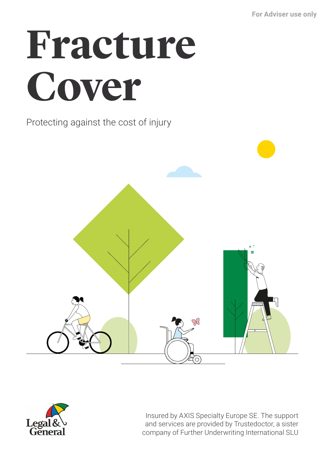**For Adviser use only**

# **Fracture Cover**

Protecting against the cost of injury





Insured by AXIS Specialty Europe SE. The support and services are provided by Trustedoctor, a sister company of Further Underwriting International SLU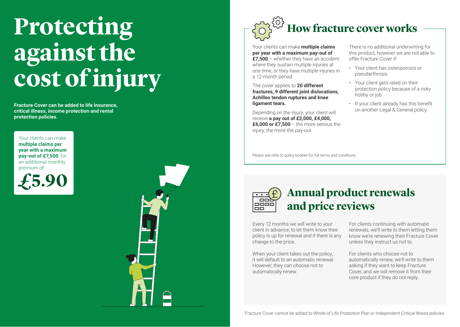## **Protecting against the cost of injury**

**Fracture Cover can be added to life insurance, critical illness, income protection and rental protection policies.**

Your clients can make **multiple claims per year with a maximum pay-out of £7,500**, for an additional monthly premium of:







Your clients can make **multiple claims per year with a maximum pay-out of £7,500** – whether they have an accident where they sustain multiple injuries at one time, or they have multiple injuries in a 12-month period.

The cover applies to **20 different fractures, 9 different joint dislocations, Achilles tendon ruptures and knee ligament tears.**

Depending on the injury, your client will receive **a pay out of £2,000, £4,000, £6,000 or £7,500** – the more serious the injury, the more the pay-out.

Please see refer to policy booklet for full terms and conditions



#### **Annual product renewals and price reviews**

Every 12 months we will write to your client in advance, to let them know their policy is up for renewal and if there is any change to the price.

When your client takes out the policy. it will default to an automatic renewal. However, they can choose not to automatically renew.

For clients continuing with automatic renewals, we'll write to them letting them know we're renewing their Fracture Cover unless they instruct us not to.

There is no additional underwriting for this product, however we are not able to

• Your client has osteoporosis or

• Your client gets rated on their

protection policy because of a risky

• If your client already has this benefit on another Legal & General policy.

offer Fracture Cover if:

pseudarthrosis

hobby or job

For clients who choose not to automatically renew, we'll write to them asking if they want to keep Fracture Cover, and we will remove it from their core product if they do not reply.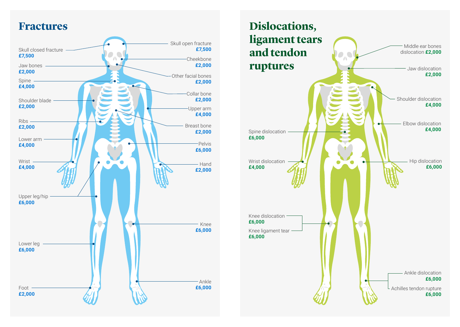#### **Fractures**